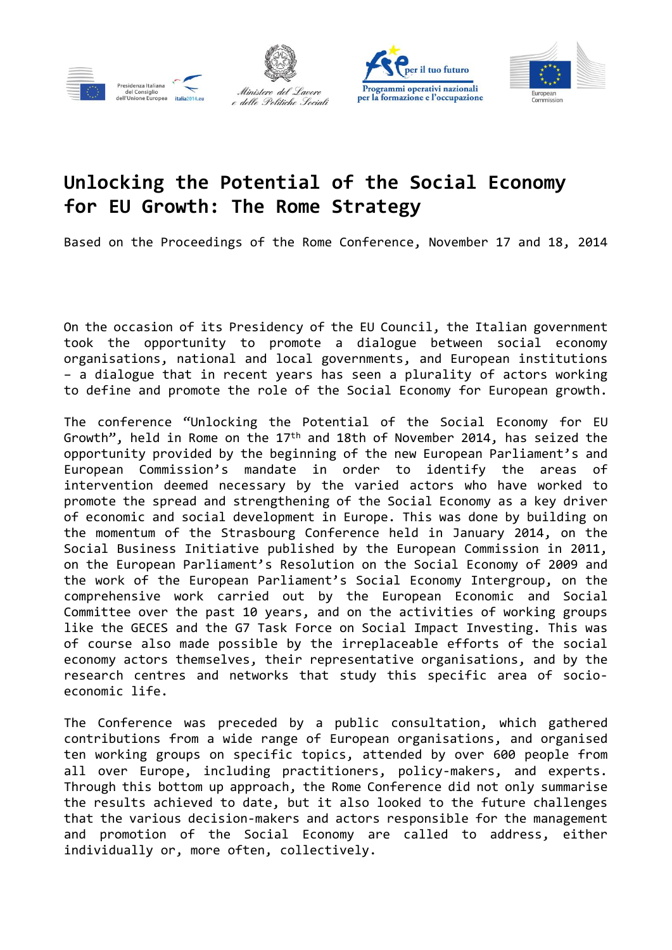







## **Unlocking the Potential of the Social Economy for EU Growth: The Rome Strategy**

Based on the Proceedings of the Rome Conference, November 17 and 18, 2014

On the occasion of its Presidency of the EU Council, the Italian government took the opportunity to promote a dialogue between social economy organisations, national and local governments, and European institutions – a dialogue that in recent years has seen a plurality of actors working to define and promote the role of the Social Economy for European growth.

The conference "Unlocking the Potential of the Social Economy for EU Growth", held in Rome on the 17<sup>th</sup> and 18th of November 2014, has seized the opportunity provided by the beginning of the new European Parliament's and European Commission's mandate in order to identify the areas of intervention deemed necessary by the varied actors who have worked to promote the spread and strengthening of the Social Economy as a key driver of economic and social development in Europe. This was done by building on the momentum of the Strasbourg Conference held in January 2014, on the Social Business Initiative published by the European Commission in 2011, on the European Parliament's Resolution on the Social Economy of 2009 and the work of the European Parliament's Social Economy Intergroup, on the comprehensive work carried out by the European Economic and Social Committee over the past 10 years, and on the activities of working groups like the GECES and the G7 Task Force on Social Impact Investing. This was of course also made possible by the irreplaceable efforts of the social economy actors themselves, their representative organisations, and by the research centres and networks that study this specific area of socioeconomic life.

The Conference was preceded by a public consultation, which gathered contributions from a wide range of European organisations, and organised ten working groups on specific topics, attended by over 600 people from all over Europe, including practitioners, policy-makers, and experts. Through this bottom up approach, the Rome Conference did not only summarise the results achieved to date, but it also looked to the future challenges that the various decision-makers and actors responsible for the management and promotion of the Social Economy are called to address, either individually or, more often, collectively.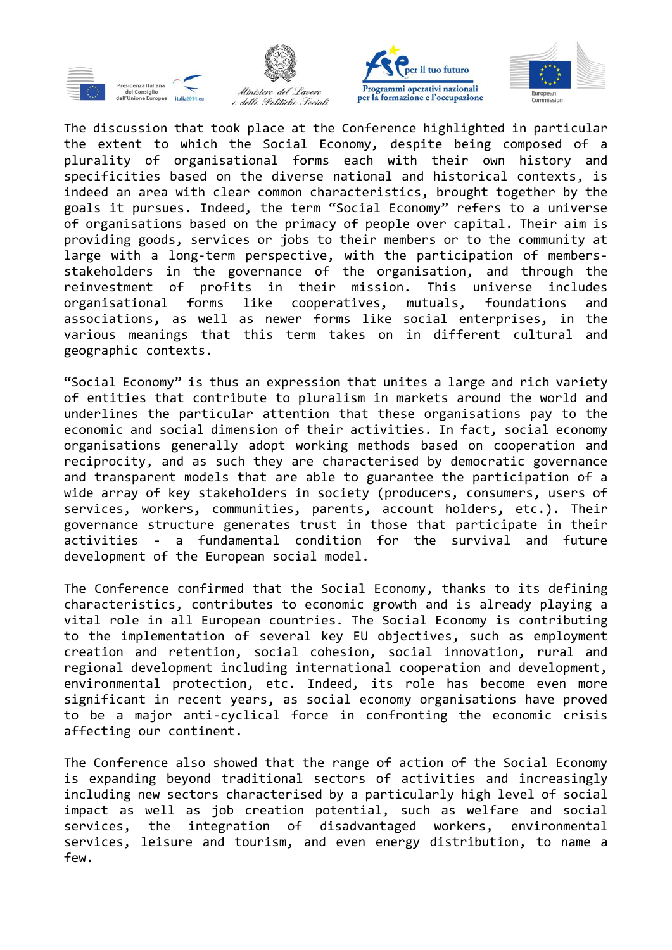







The discussion that took place at the Conference highlighted in particular the extent to which the Social Economy, despite being composed of a plurality of organisational forms each with their own history and specificities based on the diverse national and historical contexts, is indeed an area with clear common characteristics, brought together by the goals it pursues. Indeed, the term "Social Economy" refers to a universe of organisations based on the primacy of people over capital. Their aim is providing goods, services or jobs to their members or to the community at large with a long-term perspective, with the participation of membersstakeholders in the governance of the organisation, and through the reinvestment of profits in their mission. This universe includes organisational forms like cooperatives, mutuals, foundations and associations, as well as newer forms like social enterprises, in the various meanings that this term takes on in different cultural and geographic contexts.

"Social Economy" is thus an expression that unites a large and rich variety of entities that contribute to pluralism in markets around the world and underlines the particular attention that these organisations pay to the economic and social dimension of their activities. In fact, social economy organisations generally adopt working methods based on cooperation and reciprocity, and as such they are characterised by democratic governance and transparent models that are able to guarantee the participation of a wide array of key stakeholders in society (producers, consumers, users of services, workers, communities, parents, account holders, etc.). Their governance structure generates trust in those that participate in their activities - a fundamental condition for the survival and future development of the European social model.

The Conference confirmed that the Social Economy, thanks to its defining characteristics, contributes to economic growth and is already playing a vital role in all European countries. The Social Economy is contributing to the implementation of several key EU objectives, such as employment creation and retention, social cohesion, social innovation, rural and regional development including international cooperation and development, environmental protection, etc. Indeed, its role has become even more significant in recent years, as social economy organisations have proved to be a major anti-cyclical force in confronting the economic crisis affecting our continent.

The Conference also showed that the range of action of the Social Economy is expanding beyond traditional sectors of activities and increasingly including new sectors characterised by a particularly high level of social impact as well as job creation potential, such as welfare and social services, the integration of disadvantaged workers, environmental services, leisure and tourism, and even energy distribution, to name a few.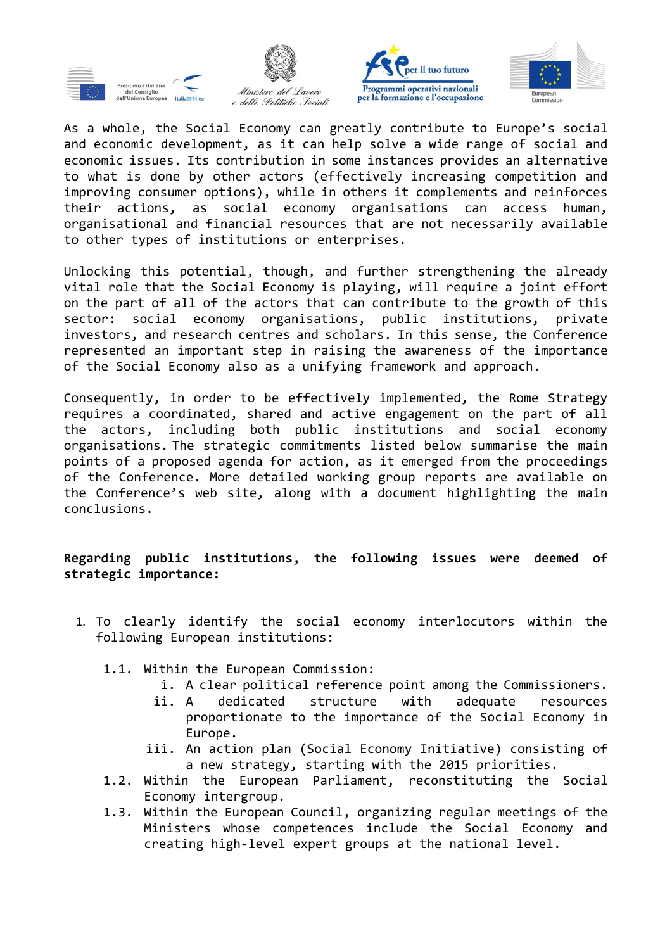







As a whole, the Social Economy can greatly contribute to Europe's social and economic development, as it can help solve a wide range of social and economic issues. Its contribution in some instances provides an alternative to what is done by other actors (effectively increasing competition and improving consumer options), while in others it complements and reinforces their actions, as social economy organisations can access human, organisational and financial resources that are not necessarily available to other types of institutions or enterprises.

Unlocking this potential, though, and further strengthening the already vital role that the Social Economy is playing, will require a joint effort on the part of all of the actors that can contribute to the growth of this sector: social economy organisations, public institutions, private investors, and research centres and scholars. In this sense, the Conference represented an important step in raising the awareness of the importance of the Social Economy also as a unifying framework and approach.

Consequently, in order to be effectively implemented, the Rome Strategy requires a coordinated, shared and active engagement on the part of all the actors, including both public institutions and social economy organisations. The strategic commitments listed below summarise the main points of a proposed agenda for action, as it emerged from the proceedings of the Conference. More detailed working group reports are available on the Conference's web site, along with a document highlighting the main conclusions.

**Regarding public institutions, the following issues were deemed of strategic importance:**

- 1. To clearly identify the social economy interlocutors within the following European institutions:
	- 1.1. Within the European Commission:
		- i. A clear political reference point among the Commissioners.
		- ii. A dedicated structure with adequate resources proportionate to the importance of the Social Economy in Europe.
		- iii. An action plan (Social Economy Initiative) consisting of a new strategy, starting with the 2015 priorities.
	- 1.2. Within the European Parliament, reconstituting the Social Economy intergroup.
	- 1.3. Within the European Council, organizing regular meetings of the Ministers whose competences include the Social Economy and creating high-level expert groups at the national level.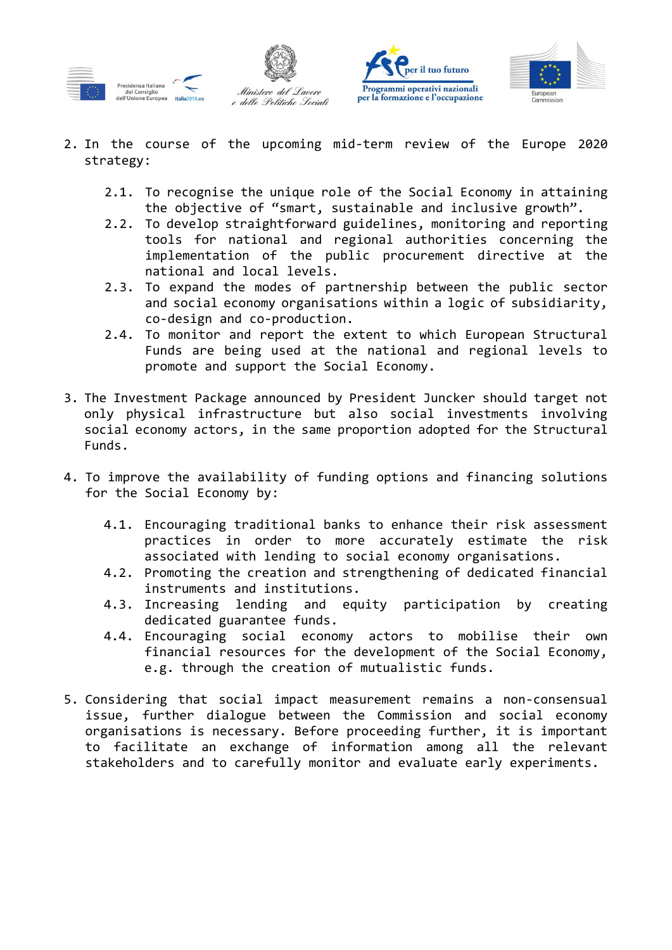







- 2. In the course of the upcoming mid-term review of the Europe 2020 strategy:
	- 2.1. To recognise the unique role of the Social Economy in attaining the objective of "smart, sustainable and inclusive growth".
	- 2.2. To develop straightforward guidelines, monitoring and reporting tools for national and regional authorities concerning the implementation of the public procurement directive at the national and local levels.
	- 2.3. To expand the modes of partnership between the public sector and social economy organisations within a logic of subsidiarity, co-design and co-production.
	- 2.4. To monitor and report the extent to which European Structural Funds are being used at the national and regional levels to promote and support the Social Economy.
- 3. The Investment Package announced by President Juncker should target not only physical infrastructure but also social investments involving social economy actors, in the same proportion adopted for the Structural Funds.
- 4. To improve the availability of funding options and financing solutions for the Social Economy by:
	- 4.1. Encouraging traditional banks to enhance their risk assessment practices in order to more accurately estimate the risk associated with lending to social economy organisations.
	- 4.2. Promoting the creation and strengthening of dedicated financial instruments and institutions.
	- 4.3. Increasing lending and equity participation by creating dedicated guarantee funds.
	- 4.4. Encouraging social economy actors to mobilise their own financial resources for the development of the Social Economy, e.g. through the creation of mutualistic funds.
- 5. Considering that social impact measurement remains a non-consensual issue, further dialogue between the Commission and social economy organisations is necessary. Before proceeding further, it is important to facilitate an exchange of information among all the relevant stakeholders and to carefully monitor and evaluate early experiments.